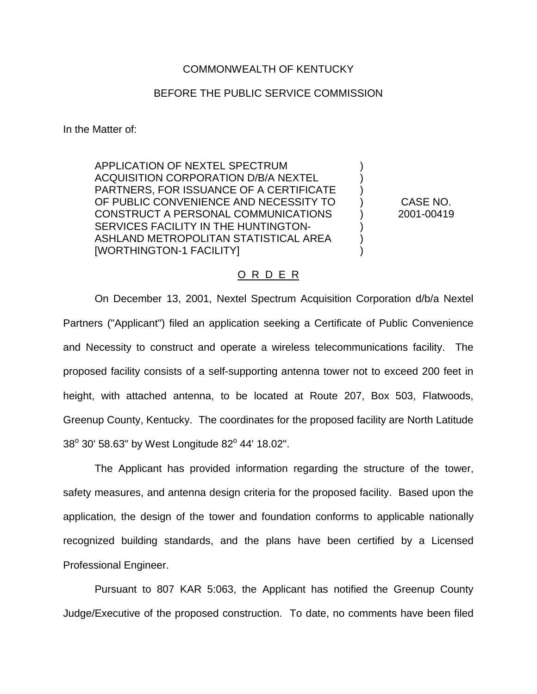## COMMONWEALTH OF KENTUCKY

## BEFORE THE PUBLIC SERVICE COMMISSION

In the Matter of:

APPLICATION OF NEXTEL SPECTRUM ACQUISITION CORPORATION D/B/A NEXTEL PARTNERS, FOR ISSUANCE OF A CERTIFICATE OF PUBLIC CONVENIENCE AND NECESSITY TO CONSTRUCT A PERSONAL COMMUNICATIONS SERVICES FACILITY IN THE HUNTINGTON-ASHLAND METROPOLITAN STATISTICAL AREA [WORTHINGTON-1 FACILITY]

CASE NO. 2001-00419

) ) ) ) ) ) ) )

## O R D E R

On December 13, 2001, Nextel Spectrum Acquisition Corporation d/b/a Nextel Partners ("Applicant") filed an application seeking a Certificate of Public Convenience and Necessity to construct and operate a wireless telecommunications facility. The proposed facility consists of a self-supporting antenna tower not to exceed 200 feet in height, with attached antenna, to be located at Route 207, Box 503, Flatwoods, Greenup County, Kentucky. The coordinates for the proposed facility are North Latitude  $38^{\circ}$  30' 58.63" by West Longitude 82 $^{\circ}$  44' 18.02".

The Applicant has provided information regarding the structure of the tower, safety measures, and antenna design criteria for the proposed facility. Based upon the application, the design of the tower and foundation conforms to applicable nationally recognized building standards, and the plans have been certified by a Licensed Professional Engineer.

Pursuant to 807 KAR 5:063, the Applicant has notified the Greenup County Judge/Executive of the proposed construction. To date, no comments have been filed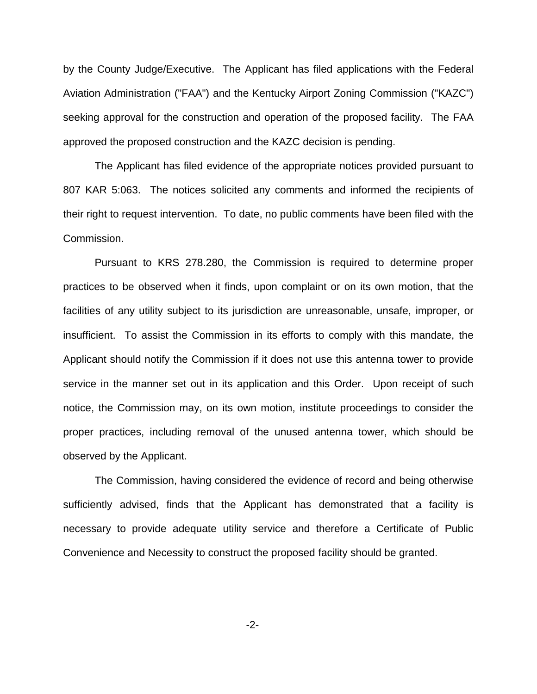by the County Judge/Executive. The Applicant has filed applications with the Federal Aviation Administration ("FAA") and the Kentucky Airport Zoning Commission ("KAZC") seeking approval for the construction and operation of the proposed facility. The FAA approved the proposed construction and the KAZC decision is pending.

The Applicant has filed evidence of the appropriate notices provided pursuant to 807 KAR 5:063. The notices solicited any comments and informed the recipients of their right to request intervention. To date, no public comments have been filed with the Commission.

Pursuant to KRS 278.280, the Commission is required to determine proper practices to be observed when it finds, upon complaint or on its own motion, that the facilities of any utility subject to its jurisdiction are unreasonable, unsafe, improper, or insufficient. To assist the Commission in its efforts to comply with this mandate, the Applicant should notify the Commission if it does not use this antenna tower to provide service in the manner set out in its application and this Order. Upon receipt of such notice, the Commission may, on its own motion, institute proceedings to consider the proper practices, including removal of the unused antenna tower, which should be observed by the Applicant.

The Commission, having considered the evidence of record and being otherwise sufficiently advised, finds that the Applicant has demonstrated that a facility is necessary to provide adequate utility service and therefore a Certificate of Public Convenience and Necessity to construct the proposed facility should be granted.

-2-